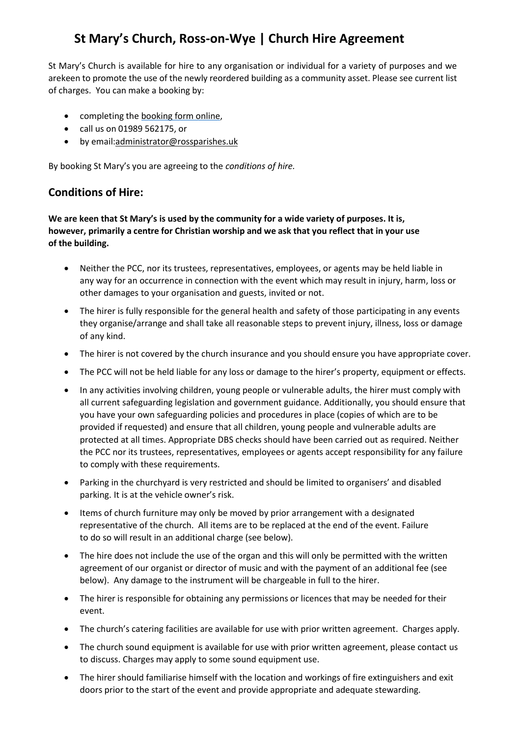# **St Mary's Church, Ross-on-Wye | Church Hire Agreement**

St Mary's Church is available for hire to any organisation or individual for a variety of purposes and we arekeen to promote the use of the newly reordered building as a community asset. Please see current list of charges. You can make a booking by:

- completing the [booking](https://docs.google.com/forms/d/e/1FAIpQLSet_nZZaIVjEMlciPRa7OoVdEQoiF4IKB375Dlndv-ZFHDDiw/viewform?usp=sf_link) form online,
- call us on 01989 562175, or
- by email[:administrator@rossparishes.uk](mailto:administrator@rossparishes.uk)

By booking St Mary's you are agreeing to the *conditions of hire.*

### **Conditions of Hire:**

**We are keen that St Mary's is used by the community for a wide variety of purposes. It is, however, primarily a centre for Christian worship and we ask that you reflect that in your use of the building.**

- Neither the PCC, nor its trustees, representatives, employees, or agents may be held liable in any way for an occurrence in connection with the event which may result in injury, harm, loss or other damages to your organisation and guests, invited or not.
- The hirer is fully responsible for the general health and safety of those participating in any events they organise/arrange and shall take all reasonable steps to prevent injury, illness, loss or damage of any kind.
- The hirer is not covered by the church insurance and you should ensure you have appropriate cover.
- The PCC will not be held liable for any loss or damage to the hirer's property, equipment or effects.
- In any activities involving children, young people or vulnerable adults, the hirer must comply with all current safeguarding legislation and government guidance. Additionally, you should ensure that you have your own safeguarding policies and procedures in place (copies of which are to be provided if requested) and ensure that all children, young people and vulnerable adults are protected at all times. Appropriate DBS checks should have been carried out as required. Neither the PCC nor its trustees, representatives, employees or agents accept responsibility for any failure to comply with these requirements.
- Parking in the churchyard is very restricted and should be limited to organisers' and disabled parking. It is at the vehicle owner's risk.
- Items of church furniture may only be moved by prior arrangement with a designated representative of the church. All items are to be replaced at the end of the event. Failure to do so will result in an additional charge (see below).
- The hire does not include the use of the organ and this will only be permitted with the written agreement of our organist or director of music and with the payment of an additional fee (see below). Any damage to the instrument will be chargeable in full to the hirer.
- The hirer is responsible for obtaining any permissions or licences that may be needed for their event.
- The church's catering facilities are available for use with prior written agreement. Charges apply.
- The church sound equipment is available for use with prior written agreement, please contact us to discuss. Charges may apply to some sound equipment use.
- The hirer should familiarise himself with the location and workings of fire extinguishers and exit doors prior to the start of the event and provide appropriate and adequate stewarding.